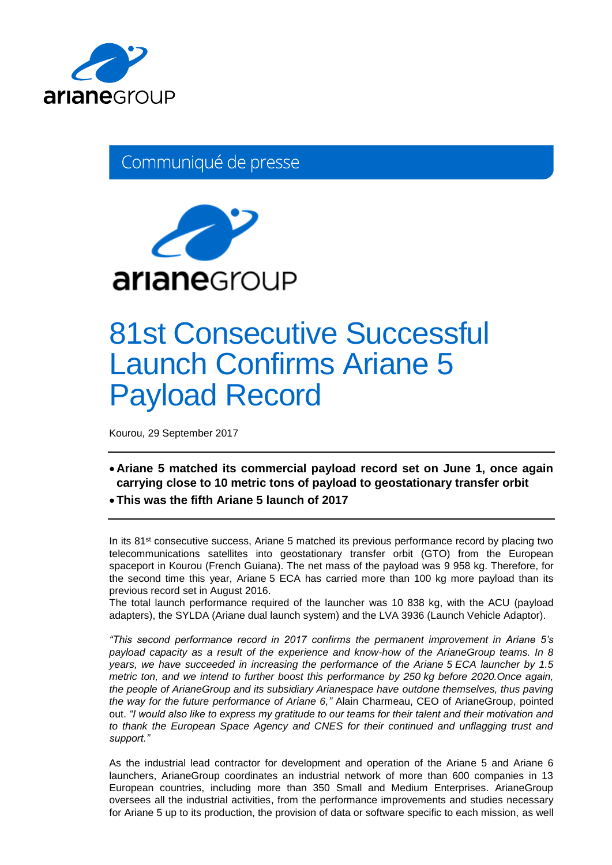

Communiqué de presse



# 81st Consecutive Successful Launch Confirms Ariane 5 Payload Record

Kourou, 29 September 2017

- **Ariane 5 matched its commercial payload record set on June 1, once again carrying close to 10 metric tons of payload to geostationary transfer orbit**
- **This was the fifth Ariane 5 launch of 2017**

In its 81<sup>st</sup> consecutive success, Ariane 5 matched its previous performance record by placing two telecommunications satellites into geostationary transfer orbit (GTO) from the European spaceport in Kourou (French Guiana). The net mass of the payload was 9 958 kg. Therefore, for the second time this year, Ariane 5 ECA has carried more than 100 kg more payload than its previous record set in August 2016.

The total launch performance required of the launcher was 10 838 kg, with the ACU (payload adapters), the SYLDA (Ariane dual launch system) and the LVA 3936 (Launch Vehicle Adaptor).

*"This second performance record in 2017 confirms the permanent improvement in Ariane 5's payload capacity as a result of the experience and know-how of the ArianeGroup teams. In 8 years, we have succeeded in increasing the performance of the Ariane 5 ECA launcher by 1.5 metric ton, and we intend to further boost this performance by 250 kg before 2020.Once again, the people of ArianeGroup and its subsidiary Arianespace have outdone themselves, thus paving the way for the future performance of Ariane 6,"* Alain Charmeau, CEO of ArianeGroup, pointed out. *"I would also like to express my gratitude to our teams for their talent and their motivation and to thank the European Space Agency and CNES for their continued and unflagging trust and support."*

As the industrial lead contractor for development and operation of the Ariane 5 and Ariane 6 launchers, ArianeGroup coordinates an industrial network of more than 600 companies in 13 European countries, including more than 350 Small and Medium Enterprises. ArianeGroup oversees all the industrial activities, from the performance improvements and studies necessary for Ariane 5 up to its production, the provision of data or software specific to each mission, as well